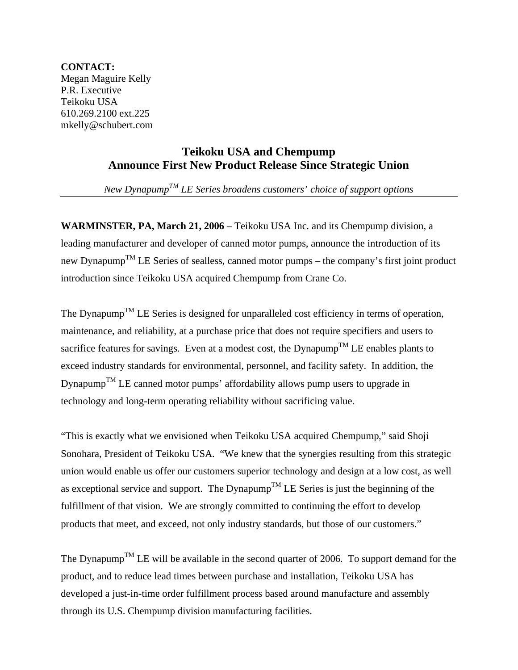**CONTACT:**  Megan Maguire Kelly P.R. Executive Teikoku USA 610.269.2100 ext.225 mkelly@schubert.com

## **Teikoku USA and Chempump Announce First New Product Release Since Strategic Union**

*New DynapumpTM LE Series broadens customers' choice of support options* 

**WARMINSTER, PA, March 21, 2006** – Teikoku USA Inc. and its Chempump division, a leading manufacturer and developer of canned motor pumps, announce the introduction of its new Dynapump<sup>TM</sup> LE Series of sealless, canned motor pumps – the company's first joint product introduction since Teikoku USA acquired Chempump from Crane Co.

The Dynapump<sup>TM</sup> LE Series is designed for unparalleled cost efficiency in terms of operation, maintenance, and reliability, at a purchase price that does not require specifiers and users to sacrifice features for savings. Even at a modest cost, the Dynapump<sup>TM</sup> LE enables plants to exceed industry standards for environmental, personnel, and facility safety. In addition, the Dynapump<sup>TM</sup> LE canned motor pumps' affordability allows pump users to upgrade in technology and long-term operating reliability without sacrificing value.

"This is exactly what we envisioned when Teikoku USA acquired Chempump," said Shoji Sonohara, President of Teikoku USA. "We knew that the synergies resulting from this strategic union would enable us offer our customers superior technology and design at a low cost, as well as exceptional service and support. The Dynapump<sup>TM</sup> LE Series is just the beginning of the fulfillment of that vision. We are strongly committed to continuing the effort to develop products that meet, and exceed, not only industry standards, but those of our customers."

The Dynapump<sup>TM</sup> LE will be available in the second quarter of 2006. To support demand for the product, and to reduce lead times between purchase and installation, Teikoku USA has developed a just-in-time order fulfillment process based around manufacture and assembly through its U.S. Chempump division manufacturing facilities.